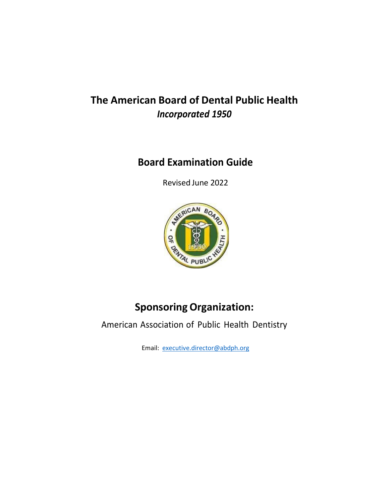# **The American Board of Dental Public Health** *Incorporated 1950*

## **Board Examination Guide**

Revised June 2022



# **Sponsoring Organization:**

American Association of Public Health Dentistry

Email: [executive.director@abdph.org](mailto:executive.director@abdph.org)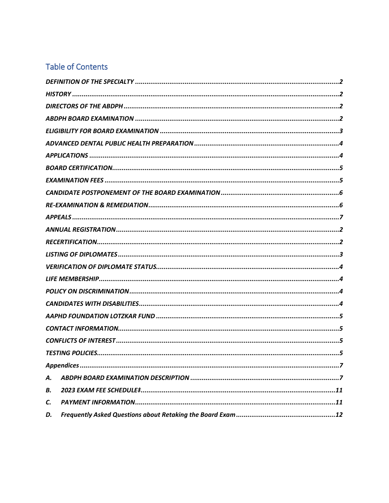### **Table of Contents**

| А. |  |  |  |
|----|--|--|--|
| В. |  |  |  |
| C. |  |  |  |
| D. |  |  |  |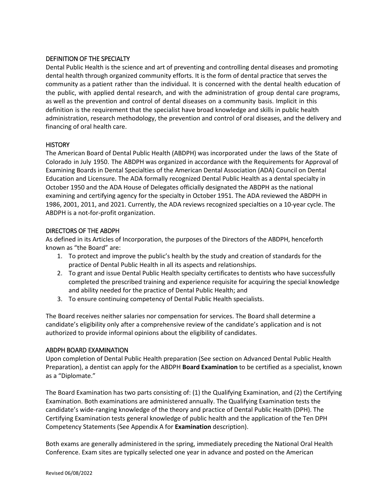#### <span id="page-2-0"></span>DEFINITION OF THE SPECIALTY

Dental Public Health is the science and art of preventing and controlling dental diseases and promoting dental health through organized community efforts. It is the form of dental practice that serves the community as a patient rather than the individual. It is concerned with the dental health education of the public, with applied dental research, and with the administration of group dental care programs, as well as the prevention and control of dental diseases on a community basis. Implicit in this definition is the requirement that the specialist have broad knowledge and skills in public health administration, research methodology, the prevention and control of oral diseases, and the delivery and financing of oral health care.

#### <span id="page-2-1"></span>**HISTORY**

The American Board of Dental Public Health (ABDPH) was incorporated under the laws of the State of Colorado in July 1950. The ABDPH was organized in accordance with the Requirements for Approval of Examining Boards in Dental Specialties of the American Dental Association (ADA) Council on Dental Education and Licensure. The ADA formally recognized Dental Public Health as a dental specialty in October 1950 and the ADA House of Delegates officially designated the ABDPH as the national examining and certifying agency for the specialty in October 1951. The ADA reviewed the ABDPH in 1986, 2001, 2011, and 2021. Currently, the ADA reviews recognized specialties on a 10-year cycle. The ABDPH is a not-for-profit organization.

#### <span id="page-2-2"></span>DIRECTORS OF THE ABDPH

As defined in its Articles of Incorporation, the purposes of the Directors of the ABDPH, henceforth known as "the Board" are:

- 1. To protect and improve the public's health by the study and creation of standards for the practice of Dental Public Health in all its aspects and relationships.
- 2. To grant and issue Dental Public Health specialty certificates to dentists who have successfully completed the prescribed training and experience requisite for acquiring the special knowledge and ability needed for the practice of Dental Public Health; and
- 3. To ensure continuing competency of Dental Public Health specialists.

The Board receives neither salaries nor compensation for services. The Board shall determine a candidate's eligibility only after a comprehensive review of the candidate's application and is not authorized to provide informal opinions about the eligibility of candidates.

#### <span id="page-2-3"></span>ABDPH BOARD EXAMINATION

Upon completion of Dental Public Health preparation (See section on Advanced Dental Public Health Preparation), a dentist can apply for the ABDPH **Board Examination** to be certified as a specialist, known as a "Diplomate."

The Board Examination has two parts consisting of: (1) the Qualifying Examination, and (2) the Certifying Examination. Both examinations are administered annually. The Qualifying Examination tests the candidate's wide-ranging knowledge of the theory and practice of Dental Public Health (DPH). The Certifying Examination tests general knowledge of public health and the application of the Ten DPH Competency Statements (See Appendix A for **Examination** description).

Both exams are generally administered in the spring, immediately preceding the National Oral Health Conference. Exam sites are typically selected one year in advance and posted on the American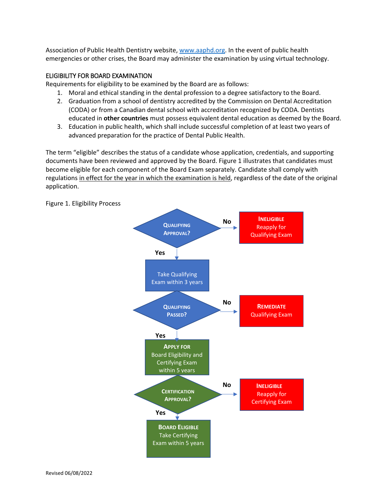Association of Public Health Dentistry website[, www.aaphd.org.](http://www.aaphd.org/) In the event of public health emergencies or other crises, the Board may administer the examination by using virtual technology.

#### <span id="page-3-0"></span>ELIGIBILITY FOR BOARD EXAMINATION

Requirements for eligibility to be examined by the Board are as follows:

- 1. Moral and ethical standing in the dental profession to a degree satisfactory to the Board.
- 2. Graduation from a school of dentistry accredited by the Commission on Dental Accreditation (CODA) or from a Canadian dental school with accreditation recognized by CODA. Dentists educated in **other countries** must possess equivalent dental education as deemed by the Board.
- 3. Education in public health, which shall include successful completion of at least two years of advanced preparation for the practice of Dental Public Health.

The term "eligible" describes the status of a candidate whose application, credentials, and supporting documents have been reviewed and approved by the Board. Figure 1 illustrates that candidates must become eligible for each component of the Board Exam separately. Candidate shall comply with regulations in effect for the year in which the examination is held, regardless of the date of the original application.



Figure 1. Eligibility Process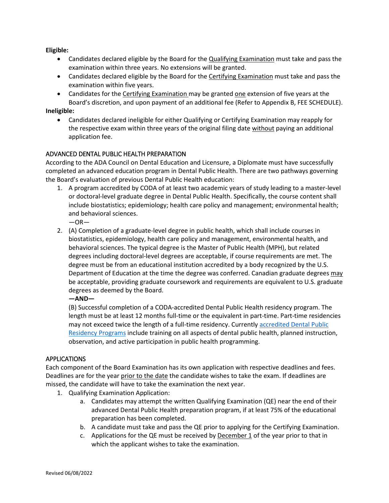**Eligible:**

- Candidates declared eligible by the Board for the **Qualifying Examination** must take and pass the examination within three years. No extensions will be granted.
- Candidates declared eligible by the Board for the Certifying Examination must take and pass the examination within five years.
- Candidates for the Certifying Examination may be granted one extension of five years at the Board's discretion, and upon payment of an additional fee (Refer to Appendix B, FEE SCHEDULE).

**Ineligible:** 

• Candidates declared ineligible for either Qualifying or Certifying Examination may reapply for the respective exam within three years of the original filing date without paying an additional application fee.

#### <span id="page-4-0"></span>ADVANCED DENTAL PUBLIC HEALTH PREPARATION

According to the ADA Council on Dental Education and Licensure, a Diplomate must have successfully completed an advanced education program in Dental Public Health. There are two pathways governing the Board's evaluation of previous Dental Public Health education:

1. A program accredited by CODA of at least two academic years of study leading to a master-level or doctoral-level graduate degree in Dental Public Health. Specifically, the course content shall include biostatistics; epidemiology; health care policy and management; environmental health; and behavioral sciences.

 $-OR-$ 

2. (A) Completion of a graduate-level degree in public health, which shall include courses in biostatistics, epidemiology, health care policy and management, environmental health, and behavioral sciences. The typical degree is the Master of Public Health (MPH), but related degrees including doctoral-level degrees are acceptable, if course requirements are met. The degree must be from an educational institution accredited by a body recognized by the U.S. Department of Education at the time the degree was conferred. Canadian graduate degrees may be acceptable, providing graduate coursework and requirements are equivalent to U.S. graduate degrees as deemed by the Board.

**—AND—**

(B) Successful completion of a CODA-accredited Dental Public Health residency program. The length must be at least 12 months full-time or the equivalent in part-time. Part-time residencies may not exceed twice the length of a full-time residency. Currently accredited Dental Public [Residency Programs](https://www.aaphd.org/index.php?option=com_content&view=article&id=63&Itemid=132) include training on all aspects of dental public health, planned instruction, observation, and active participation in public health programming.

#### <span id="page-4-1"></span>APPLICATIONS

Each component of the Board Examination has its own application with respective deadlines and fees. Deadlines are for the year prior to the date the candidate wishes to take the exam. If deadlines are missed, the candidate will have to take the examination the next year.

- 1. Qualifying Examination Application:
	- a. Candidates may attempt the written Qualifying Examination (QE) near the end of their advanced Dental Public Health preparation program, if at least 75% of the educational preparation has been completed.
	- b. A candidate must take and pass the QE prior to applying for the Certifying Examination.
	- c. Applications for the QE must be received by December 1 of the year prior to that in which the applicant wishes to take the examination.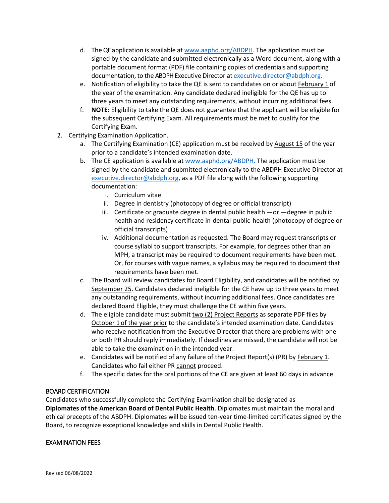- d. The QE application is available at [www.aaphd.org/ABDPH.](http://www.aaphd.org/ABDPH) The application must be signed by the candidate and submitted electronically as a Word document, along with a portable document format (PDF) file containing copies of credentials and supporting documentation, to the ABDPH Executive Director at [executive.director@abdph.org.](mailto:executive.director@abdph.org.)
- e. Notification of eligibility to take the QE is sent to candidates on or about February 1 of the year of the examination. Any candidate declared ineligible for the QE has up to three years to meet any outstanding requirements, without incurring additional fees.
- f. **NOTE**: Eligibility to take the QE does not guarantee that the applicant will be eligible for the subsequent Certifying Exam. All requirements must be met to qualify for the Certifying Exam.
- 2. Certifying Examination Application.
	- a. The Certifying Examination (CE) application must be received by August 15 of the year prior to a candidate's intended examination date.
	- b. The CE application is available at [www.aaphd.org/ABDPH.](http://www.aaphd.org/ABDPH) The application must be signed by the candidate and submitted electronically to the ABDPH Executive Director at [executive.director@abdph.org,](mailto:executive.director@abdph.org) as a PDF file along with the following supporting documentation:
		- i. Curriculum vitae
		- ii. Degree in dentistry (photocopy of degree or official transcript)
		- iii. Certificate or graduate degree in dental public health —or —degree in public health and residency certificate in dental public health (photocopy of degree or official transcripts)
		- iv. Additional documentation as requested. The Board may request transcripts or course syllabi to support transcripts. For example, for degrees other than an MPH, a transcript may be required to document requirements have been met. Or, for courses with vague names, a syllabus may be required to document that requirements have been met.
	- c. The Board will review candidates for Board Eligibility, and candidates will be notified by September 25. Candidates declared ineligible for the CE have up to three years to meet any outstanding requirements, without incurring additional fees. Once candidates are declared Board Eligible, they must challenge the CE within five years.
	- d. The eligible candidate must submit  $two (2)$  Project Reports as separate PDF files by October 1 of the year prior to the candidate's intended examination date. Candidates who receive notification from the Executive Director that there are problems with one or both PR should reply immediately. If deadlines are missed, the candidate will not be able to take the examination in the intended year.
	- e. Candidates will be notified of any failure of the Project Report(s) (PR) by February 1. Candidates who fail either PR cannot proceed.
	- f. The specific dates for the oral portions of the CE are given at least 60 days in advance.

### <span id="page-5-0"></span>BOARD CERTIFICATION

Candidates who successfully complete the Certifying Examination shall be designated as **Diplomates of the American Board of Dental Public Health**. Diplomates must maintain the moral and ethical precepts of the ABDPH. Diplomates will be issued ten-year time-limited certificates signed by the Board, to recognize exceptional knowledge and skills in Dental Public Health.

#### <span id="page-5-1"></span>EXAMINATION FEES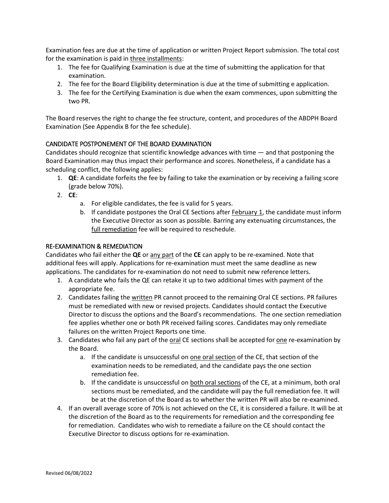Examination fees are due at the time of application or written Project Report submission. The total cost for the examination is paid in three installments:

- 1. The fee for Qualifying Examination is due at the time of submitting the application for that examination.
- 2. The fee for the Board Eligibility determination is due at the time of submitting e application.
- 3. The fee for the Certifying Examination is due when the exam commences, upon submitting the two PR.

The Board reserves the right to change the fee structure, content, and procedures of the ABDPH Board Examination (See Appendix B for the fee schedule).

#### <span id="page-6-0"></span>CANDIDATE POSTPONEMENT OF THE BOARD EXAMINATION

Candidates should recognize that scientific knowledge advances with time  $-$  and that postponing the Board Examination may thus impact their performance and scores. Nonetheless, if a candidate has a scheduling conflict, the following applies:

- 1. **QE**: A candidate forfeits the fee by failing to take the examination or by receiving a failing score (grade below 70%).
- 2. **CE**:
	- a. For eligible candidates, the fee is valid for 5 years.
	- b. If candidate postpones the Oral CE Sections after **February 1**, the candidate must inform the Executive Director as soon as possible. Barring any extenuating circumstances, the full remediation fee will be required to reschedule.

#### <span id="page-6-1"></span>RE-EXAMINATION & REMEDIATION

Candidates who fail either the **QE** or any part of the **CE** can apply to be re-examined. Note that additional fees will apply. Applications for re-examination must meet the same deadline as new applications. The candidates for re-examination do not need to submit new reference letters.

- 1. A candidate who fails the QE can retake it up to two additional times with payment of the appropriate fee.
- 2. Candidates failing the written PR cannot proceed to the remaining Oral CE sections. PR failures must be remediated with new or revised projects. Candidates should contact the Executive Director to discuss the options and the Board's recommendations. The one section remediation fee applies whether one or both PR received failing scores. Candidates may only remediate failures on the written Project Reports one time.
- 3. Candidates who fail any part of the oral CE sections shall be accepted for one re-examination by the Board.
	- a. If the candidate is unsuccessful on one oral section of the CE, that section of the examination needs to be remediated, and the candidate pays the one section remediation fee.
	- b. If the candidate is unsuccessful on both oral sections of the CE, at a minimum, both oral sections must be remediated, and the candidate will pay the full remediation fee. It will be at the discretion of the Board as to whether the written PR will also be re-examined.
- 4. If an overall average score of 70% is not achieved on the CE, it is considered a failure. It will be at the discretion of the Board as to the requirements for remediation and the corresponding fee for remediation. Candidates who wish to remediate a failure on the CE should contact the Executive Director to discuss options for re-examination.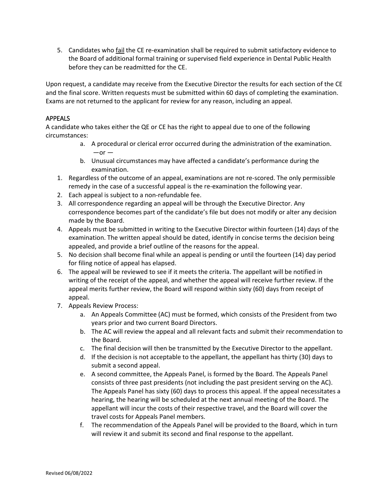5. Candidates who fail the CE re-examination shall be required to submit satisfactory evidence to the Board of additional formal training or supervised field experience in Dental Public Health before they can be readmitted for the CE.

Upon request, a candidate may receive from the Executive Director the results for each section of the CE and the final score. Written requests must be submitted within 60 days of completing the examination. Exams are not returned to the applicant for review for any reason, including an appeal.

### <span id="page-7-0"></span>APPEALS

A candidate who takes either the QE or CE has the right to appeal due to one of the following circumstances:

- a. A procedural or clerical error occurred during the administration of the examination.  $-$ or  $-$
- b. Unusual circumstances may have affected a candidate's performance during the examination.
- 1. Regardless of the outcome of an appeal, examinations are not re-scored. The only permissible remedy in the case of a successful appeal is the re-examination the following year.
- 2. Each appeal is subject to a non-refundable fee.
- 3. All correspondence regarding an appeal will be through the Executive Director. Any correspondence becomes part of the candidate's file but does not modify or alter any decision made by the Board.
- 4. Appeals must be submitted in writing to the Executive Director within fourteen (14) days of the examination. The written appeal should be dated, identify in concise terms the decision being appealed, and provide a brief outline of the reasons for the appeal.
- 5. No decision shall become final while an appeal is pending or until the fourteen (14) day period for filing notice of appeal has elapsed.
- 6. The appeal will be reviewed to see if it meets the criteria. The appellant will be notified in writing of the receipt of the appeal, and whether the appeal will receive further review. If the appeal merits further review, the Board will respond within sixty (60) days from receipt of appeal.
- 7. Appeals Review Process:
	- a. An Appeals Committee (AC) must be formed, which consists of the President from two years prior and two current Board Directors.
	- b. The AC will review the appeal and all relevant facts and submit their recommendation to the Board.
	- c. The final decision will then be transmitted by the Executive Director to the appellant.
	- d. If the decision is not acceptable to the appellant, the appellant has thirty (30) days to submit a second appeal.
	- e. A second committee, the Appeals Panel, is formed by the Board. The Appeals Panel consists of three past presidents (not including the past president serving on the AC). The Appeals Panel has sixty (60) days to process this appeal. If the appeal necessitates a hearing, the hearing will be scheduled at the next annual meeting of the Board. The appellant will incur the costs of their respective travel, and the Board will cover the travel costs for Appeals Panel members.
	- f. The recommendation of the Appeals Panel will be provided to the Board, which in turn will review it and submit its second and final response to the appellant.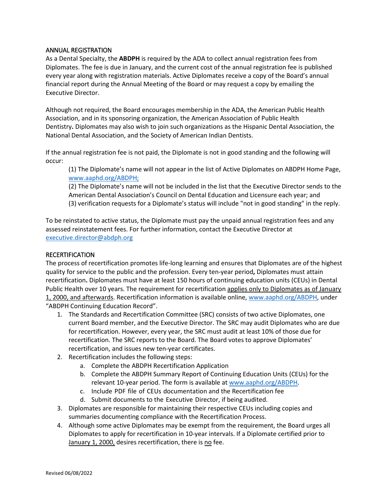#### <span id="page-8-0"></span>ANNUAL REGISTRATION

As a Dental Specialty, the **ABDPH** is required by the ADA to collect annual registration fees from Diplomates. The fee is due in January, and the current cost of the annual registration fee is published every year along with registration materials. Active Diplomates receive a copy of the Board's annual financial report during the Annual Meeting of the Board or may request a copy by emailing the Executive Director.

Although not required, the Board encourages membership in the ADA, the American Public Health Association, and in its sponsoring organization, the American Association of Public Health Dentistry**.** Diplomates may also wish to join such organizations as the Hispanic Dental Association, the National Dental Association, and the Society of American Indian Dentists.

If the annual registration fee is not paid, the Diplomate is not in good standing and the following will occur:

(1) The Diplomate's name will not appear in the list of Active Diplomates on ABDPH Home Page, [www.aaphd.org/ABDPH;](http://www.aaphd.org/ABDPH;) 

(2) The Diplomate's name will not be included in the list that the Executive Director sends to the American Dental Association's Council on Dental Education and Licensure each year; and (3) verification requests for a Diplomate's status will include "not in good standing" in the reply.

To be reinstated to active status, the Diplomate must pay the unpaid annual registration fees and any assessed reinstatement fees. For further information, contact the Executive Director at [executive.director@abdph.org](mailto:executive.director@abdph.org)

#### <span id="page-8-1"></span>**RECERTIFICATION**

The process of recertification promotes life-long learning and ensures that Diplomates are of the highest quality for service to the public and the profession. Every ten-year period**,** Diplomates must attain recertification**.** Diplomates must have at least 150 hours of continuing education units (CEUs) in Dental Public Health over 10 years. The requirement for recertification applies only to Diplomates as of January 1, 2000, and afterwards. Recertification information is available online[, www.aaphd.org/ABDPH,](http://www.aaphd.org/ABDPH) under "ABDPH Continuing Education Record".

- 1. The Standards and Recertification Committee (SRC) consists of two active Diplomates, one current Board member, and the Executive Director. The SRC may audit Diplomates who are due for recertification. However, every year, the SRC must audit at least 10% of those due for recertification. The SRC reports to the Board. The Board votes to approve Diplomates' recertification, and issues new ten-year certificates.
- 2. Recertification includes the following steps:
	- a. Complete the ABDPH Recertification Application
	- b. Complete the ABDPH Summary Report of Continuing Education Units (CEUs) for the relevant 10-year period. The form is available a[t www.aaphd.org/ABDPH.](http://www.aaphd.org/ABDPH)
	- c. Include PDF file of CEUs documentation and the Recertification fee
	- d. Submit documents to the Executive Director, if being audited.
- 3. Diplomates are responsible for maintaining their respective CEUs including copies and summaries documenting compliance with the Recertification Process.
- 4. Although some active Diplomates may be exempt from the requirement, the Board urges all Diplomates to apply for recertification in 10-year intervals. If a Diplomate certified prior to January 1, 2000, desires recertification, there is no fee.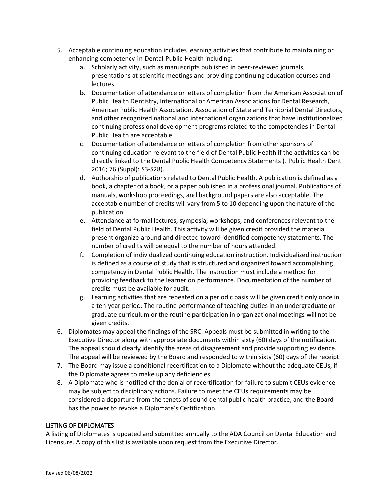- 5. Acceptable continuing education includes learning activities that contribute to maintaining or enhancing competency in Dental Public Health including:
	- a. Scholarly activity, such as manuscripts published in peer-reviewed journals, presentations at scientific meetings and providing continuing education courses and lectures.
	- b. Documentation of attendance or letters of completion from the American Association of Public Health Dentistry, International or American Associations for Dental Research, American Public Health Association, Association of State and Territorial Dental Directors, and other recognized national and international organizations that have institutionalized continuing professional development programs related to the competencies in Dental Public Health are acceptable.
	- c. Documentation of attendance or letters of completion from other sponsors of continuing education relevant to the field of Dental Public Health if the activities can be directly linked to the Dental Public Health Competency Statements (J Public Health Dent 2016; 76 (Suppl): S3-S28).
	- d. Authorship of publications related to Dental Public Health. A publication is defined as a book, a chapter of a book, or a paper published in a professional journal. Publications of manuals, workshop proceedings, and background papers are also acceptable. The acceptable number of credits will vary from 5 to 10 depending upon the nature of the publication.
	- e. Attendance at formal lectures, symposia, workshops, and conferences relevant to the field of Dental Public Health. This activity will be given credit provided the material present organize around and directed toward identified competency statements. The number of credits will be equal to the number of hours attended.
	- f. Completion of individualized continuing education instruction. Individualized instruction is defined as a course of study that is structured and organized toward accomplishing competency in Dental Public Health. The instruction must include a method for providing feedback to the learner on performance. Documentation of the number of credits must be available for audit.
	- g. Learning activities that are repeated on a periodic basis will be given credit only once in a ten-year period. The routine performance of teaching duties in an undergraduate or graduate curriculum or the routine participation in organizational meetings will not be given credits.
- 6. Diplomates may appeal the findings of the SRC. Appeals must be submitted in writing to the Executive Director along with appropriate documents within sixty (60) days of the notification. The appeal should clearly identify the areas of disagreement and provide supporting evidence. The appeal will be reviewed by the Board and responded to within sixty (60) days of the receipt.
- 7. The Board may issue a conditional recertification to a Diplomate without the adequate CEUs, if the Diplomate agrees to make up any deficiencies.
- 8. A Diplomate who is notified of the denial of recertification for failure to submit CEUs evidence may be subject to disciplinary actions. Failure to meet the CEUs requirements may be considered a departure from the tenets of sound dental public health practice, and the Board has the power to revoke a Diplomate's Certification.

#### <span id="page-9-0"></span>LISTING OF DIPLOMATES

A listing of Diplomates is updated and submitted annually to the ADA Council on Dental Education and Licensure. A copy of this list is available upon request from the Executive Director.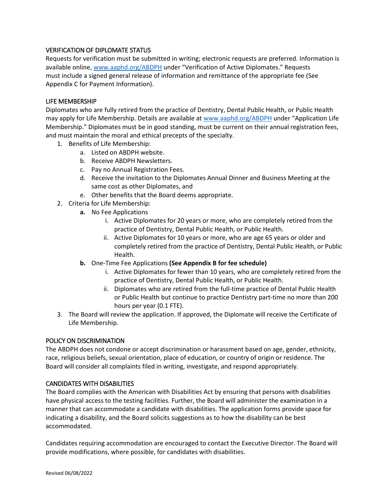#### <span id="page-10-0"></span>VERIFICATION OF DIPLOMATE STATUS

Requests for verification must be submitted in writing; electronic requests are preferred. Information is available online, [www.aaphd.org/ABDPH](http://www.aaphd.org/ABDPH) under "Verification of Active Diplomates." Requests must include a signed general release of information and remittance of the appropriate fee (See Appendix C for Payment Information).

#### <span id="page-10-1"></span>LIFE MEMBERSHIP

Diplomates who are fully retired from the practice of Dentistry, Dental Public Health, or Public Health may apply for Life Membership. Details are available at [www.aaphd.org/ABDPH](http://www.aaphd.org/ABDPH) under "Application Life Membership." Diplomates must be in good standing, must be current on their annual registration fees, and must maintain the moral and ethical precepts of the specialty.

- 1. Benefits of Life Membership:
	- a. Listed on ABDPH website.
	- b. Receive ABDPH Newsletters.
	- c. Pay no Annual Registration Fees.
	- d. Receive the invitation to the Diplomates Annual Dinner and Business Meeting at the same cost as other Diplomates, and
	- e. Other benefits that the Board deems appropriate.
- 2. Criteria for Life Membership:
	- **a.** No Fee Applications
		- i. Active Diplomates for 20 years or more, who are completely retired from the practice of Dentistry, Dental Public Health, or Public Health.
		- ii. Active Diplomates for 10 years or more, who are age 65 years or older and completely retired from the practice of Dentistry, Dental Public Health, or Public Health.
	- **b.** One-Time Fee Applications **(See Appendix B for fee schedule)**
		- i. Active Diplomates for fewer than 10 years, who are completely retired from the practice of Dentistry, Dental Public Health, or Public Health.
		- ii. Diplomates who are retired from the full-time practice of Dental Public Health or Public Health but continue to practice Dentistry part-time no more than 200 hours per year (0.1 FTE).
- 3. The Board will review the application. If approved, the Diplomate will receive the Certificate of Life Membership.

#### <span id="page-10-2"></span>POLICY ON DISCRIMINATION

The ABDPH does not condone or accept discrimination or harassment based on age, gender, ethnicity, race, religious beliefs, sexual orientation, place of education, or country of origin or residence. The Board will consider all complaints filed in writing, investigate, and respond appropriately.

#### <span id="page-10-3"></span>CANDIDATES WITH DISABILITIES

The Board complies with the American with Disabilities Act by ensuring that persons with disabilities have physical access to the testing facilities. Further, the Board will administer the examination in a manner that can accommodate a candidate with disabilities. The application forms provide space for indicating a disability, and the Board solicits suggestions as to how the disability can be best accommodated.

Candidates requiring accommodation are encouraged to contact the Executive Director. The Board will provide modifications, where possible, for candidates with disabilities.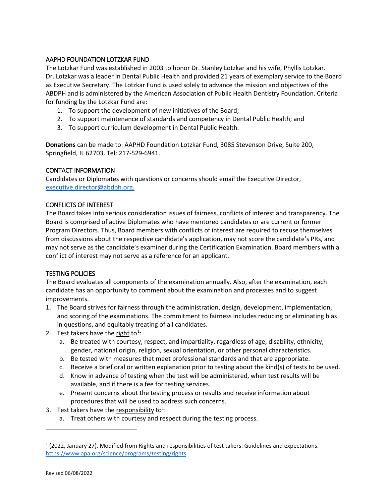#### <span id="page-11-0"></span>AAPHD FOUNDATION LOTZKAR FUND

The Lotzkar Fund was established in 2003 to honor Dr. Stanley Lotzkar and his wife, Phyllis Lotzkar. Dr. Lotzkar was a leader in Dental Public Health and provided 21 years of exemplary service to the Board as Executive Secretary. The Lotzkar Fund is used solely to advance the mission and objectives of the ABDPH and is administered by the American Association of Public Health Dentistry Foundation. Criteria for funding by the Lotzkar Fund are:

- 1. To support the development of new initiatives of the Board;
- 2. To support maintenance of standards and competency in Dental Public Health; and
- 3. To support curriculum development in Dental Public Health.

**Donations** can be made to: AAPHD Foundation Lotzkar Fund, 3085 Stevenson Drive, Suite 200, Springfield, IL 62703. Tel: 217-529-6941.

#### <span id="page-11-1"></span>CONTACT INFORMATION

Candidates or Diplomates with questions or concerns should email the Executive Director, [executive.director@abdph.org.](mailto:executive.director@abdph.org)

#### <span id="page-11-2"></span>CONFLICTS OF INTEREST

The Board takes into serious consideration issues of fairness, conflicts of interest and transparency. The Board is comprised of active Diplomates who have mentored candidates or are current or former Program Directors. Thus, Board members with conflicts of interest are required to recuse themselves from discussions about the respective candidate's application, may not score the candidate's PRs, and may not serve as the candidate's examiner during the Certification Examination. Board members with a conflict of interest may not serve as a reference for an applicant.

### <span id="page-11-3"></span>TESTING POLICIES

The Board evaluates all components of the examination annually. Also, after the examination, each candidate has an opportunity to comment about the examination and processes and to suggest improvements.

- 1. The Board strives for fairness through the administration, design, development, implementation, and scoring of the examinations. The commitment to fairness includes reducing or eliminating bias in questions, and equitably treating of all candidates.
- <span id="page-11-4"></span>2. Test takers have the right to<sup>[1](#page-11-5)</sup>:
	- a. Be treated with courtesy, respect, and impartiality, regardless of age, disability, ethnicity, gender, national origin, religion, sexual orientation, or other personal characteristics.
	- b. Be tested with measures that meet professional standards and that are appropriate.
	- c. Receive a brief oral or written explanation prior to testing about the kind(s) of tests to be used.
	- d. Know in advance of testing when the test will be administered, when test results will be available, and if there is a fee for testing services.
	- e. Present concerns about the testing process or results and receive information about procedures that will be used to address such concerns.
- 3. Test takers have the responsibility to<sup>1</sup>:
	- a. Treat others with courtesy and respect during the testing process.

l

<span id="page-11-5"></span><sup>1</sup> (2022, January 27). Modified from Rights and responsibilities of test takers: Guidelines and expectations. <https://www.apa.org/science/programs/testing/rights>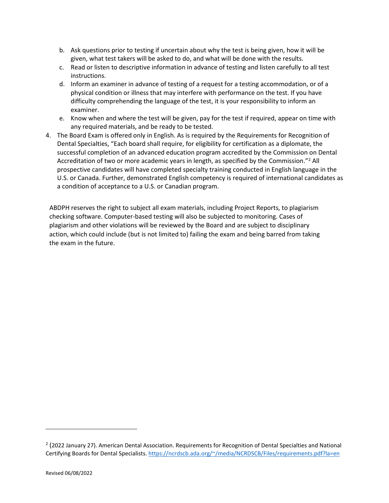- b. Ask questions prior to testing if uncertain about why the test is being given, how it will be given, what test takers will be asked to do, and what will be done with the results.
- c. Read or listen to descriptive information in advance of testing and listen carefully to all test instructions.
- d. Inform an examiner in advance of testing of a request for a testing accommodation, or of a physical condition or illness that may interfere with performance on the test. If you have difficulty comprehending the language of the test, it is your responsibility to inform an examiner.
- e. Know when and where the test will be given, pay for the test if required, appear on time with any required materials, and be ready to be tested.
- 4. The Board Exam is offered only in English. As is required by the Requirements for Recognition of Dental Specialties, "Each board shall require, for eligibility for certification as a diplomate, the successful completion of an advanced education program accredited by the Commission on Dental Accreditation of two or more academic years in length, as specified by the Commission."<sup>[2](#page-12-0)</sup> All prospective candidates will have completed specialty training conducted in English language in the U.S. or Canada. Further, demonstrated English competency is required of international candidates as a condition of acceptance to a U.S. or Canadian program.

ABDPH reserves the right to subject all exam materials, including Project Reports, to plagiarism checking software. Computer-based testing will also be subjected to monitoring. Cases of plagiarism and other violations will be reviewed by the Board and are subject to disciplinary action, which could include (but is not limited to) failing the exam and being barred from taking the exam in the future.

 $\overline{\phantom{a}}$ 

<span id="page-12-0"></span> $2$  (2022 January 27). American Dental Association. Requirements for Recognition of Dental Specialties and National Certifying Boards for Dental Specialists. [https://ncrdscb.ada.org/~/media/NCRDSCB/Files/requirements.pdf?la=en](https://ncrdscb.ada.org/%7E/media/NCRDSCB/Files/requirements.pdf?la=en)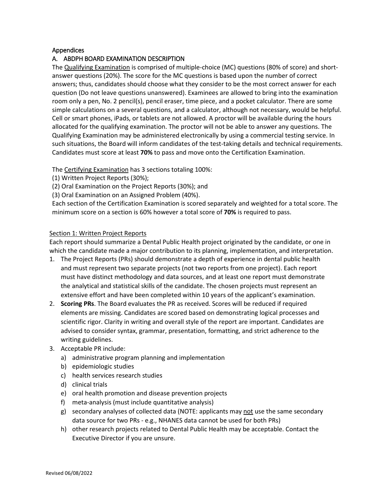#### <span id="page-13-0"></span>Appendices

#### <span id="page-13-1"></span>A. ABDPH BOARD EXAMINATION DESCRIPTION

The Qualifying Examination is comprised of multiple-choice (MC) questions (80% of score) and shortanswer questions (20%). The score for the MC questions is based upon the number of correct answers; thus, candidates should choose what they consider to be the most correct answer for each question (Do not leave questions unanswered). Examinees are allowed to bring into the examination room only a pen, No. 2 pencil(s), pencil eraser, time piece, and a pocket calculator. There are some simple calculations on a several questions, and a calculator, although not necessary, would be helpful. Cell or smart phones, iPads, or tablets are not allowed. A proctor will be available during the hours allocated for the qualifying examination. The proctor will not be able to answer any questions. The Qualifying Examination may be administered electronically by using a commercial testing service. In such situations, the Board will inform candidates of the test-taking details and technical requirements. Candidates must score at least **70%** to pass and move onto the Certification Examination.

The Certifying Examination has 3 sections totaling 100%:

- (1) Written Project Reports (30%);
- (2) Oral Examination on the Project Reports (30%); and
- (3) Oral Examination on an Assigned Problem (40%).

Each section of the Certification Examination is scored separately and weighted for a total score. The minimum score on a section is 60% however a total score of **70%** is required to pass.

#### Section 1: Written Project Reports

Each report should summarize a Dental Public Health project originated by the candidate, or one in which the candidate made a major contribution to its planning, implementation, and interpretation.

- 1. The Project Reports (PRs) should demonstrate a depth of experience in dental public health and must represent two separate projects (not two reports from one project). Each report must have distinct methodology and data sources, and at least one report must demonstrate the analytical and statistical skills of the candidate. The chosen projects must represent an extensive effort and have been completed within 10 years of the applicant's examination.
- 2. **Scoring PRs**. The Board evaluates the PR as received. Scores will be reduced if required elements are missing. Candidates are scored based on demonstrating logical processes and scientific rigor. Clarity in writing and overall style of the report are important. Candidates are advised to consider syntax, grammar, presentation, formatting, and strict adherence to the writing guidelines.
- 3. Acceptable PR include:
	- a) administrative program planning and implementation
	- b) epidemiologic studies
	- c) health services research studies
	- d) clinical trials
	- e) oral health promotion and disease prevention projects
	- f) meta-analysis (must include quantitative analysis)
	- g) secondary analyses of collected data (NOTE: applicants may not use the same secondary data source for two PRs - e.g., NHANES data cannot be used for both PRs)
	- h) other research projects related to Dental Public Health may be acceptable. Contact the Executive Director if you are unsure.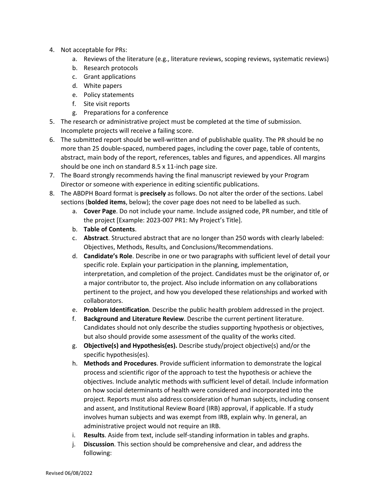- 4. Not acceptable for PRs:
	- a. Reviews of the literature (e.g., literature reviews, scoping reviews, systematic reviews)
	- b. Research protocols
	- c. Grant applications
	- d. White papers
	- e. Policy statements
	- f. Site visit reports
	- g. Preparations for a conference
- 5. The research or administrative project must be completed at the time of submission. Incomplete projects will receive a failing score.
- 6. The submitted report should be well-written and of publishable quality. The PR should be no more than 25 double-spaced, numbered pages, including the cover page, table of contents, abstract, main body of the report, references, tables and figures, and appendices. All margins should be one inch on standard 8.5 x 11-inch page size.
- 7. The Board strongly recommends having the final manuscript reviewed by your Program Director or someone with experience in editing scientific publications.
- 8. The ABDPH Board format is **precisely** as follows. Do not alter the order of the sections. Label sections (**bolded items**, below); the cover page does not need to be labelled as such.
	- a. **Cover Page**. Do not include your name. Include assigned code, PR number, and title of the project [Example: 2023-007 PR1: My Project's Title].
	- b. **Table of Contents**.
	- c. **Abstract**. Structured abstract that are no longer than 250 words with clearly labeled: Objectives, Methods, Results, and Conclusions/Recommendations.
	- d. **Candidate's Role**. Describe in one or two paragraphs with sufficient level of detail your specific role. Explain your participation in the planning, implementation, interpretation, and completion of the project. Candidates must be the originator of, or a major contributor to, the project. Also include information on any collaborations pertinent to the project, and how you developed these relationships and worked with collaborators.
	- e. **Problem Identification**. Describe the public health problem addressed in the project.
	- f. **Background and Literature Review**. Describe the current pertinent literature. Candidates should not only describe the studies supporting hypothesis or objectives, but also should provide some assessment of the quality of the works cited.
	- g. **Objective(s) and Hypothesis(es).** Describe study/project objective(s) and/or the specific hypothesis(es).
	- h. **Methods and Procedures**. Provide sufficient information to demonstrate the logical process and scientific rigor of the approach to test the hypothesis or achieve the objectives. Include analytic methods with sufficient level of detail. Include information on how social determinants of health were considered and incorporated into the project. Reports must also address consideration of human subjects, including consent and assent, and Institutional Review Board (IRB) approval, if applicable. If a study involves human subjects and was exempt from IRB, explain why. In general, an administrative project would not require an IRB.
	- i. **Results**. Aside from text, include self-standing information in tables and graphs.
	- j. **Discussion**. This section should be comprehensive and clear, and address the following: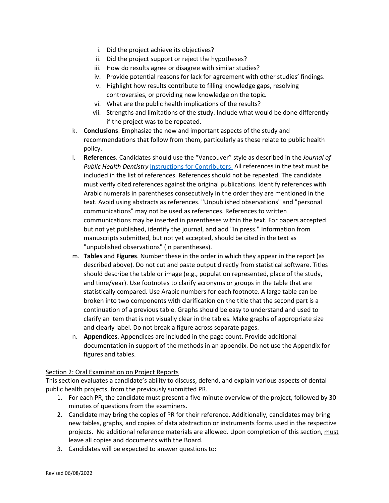- i. Did the project achieve its objectives?
- ii. Did the project support or reject the hypotheses?
- iii. How do results agree or disagree with similar studies?
- iv. Provide potential reasons for lack for agreement with other studies' findings.
- v. Highlight how results contribute to filling knowledge gaps, resolving controversies, or providing new knowledge on the topic.
- vi. What are the public health implications of the results?
- vii. Strengths and limitations of the study. Include what would be done differently if the project was to be repeated.
- k. **Conclusions**. Emphasize the new and important aspects of the study and recommendations that follow from them, particularly as these relate to public health policy.
- l. **References**. Candidates should use the "Vancouver" style as described in the *Journal of Public Health Dentistry* [Instructions for Contributors.](mailto:https://onlinelibrary.wiley.com/page/journal/17527325/homepage/forauthors.html) All references in the text must be included in the list of references. References should not be repeated. The candidate must verify cited references against the original publications. Identify references with Arabic numerals in parentheses consecutively in the order they are mentioned in the text. Avoid using abstracts as references. "Unpublished observations" and "personal communications" may not be used as references. References to written communications may be inserted in parentheses within the text. For papers accepted but not yet published, identify the journal, and add "In press." Information from manuscripts submitted, but not yet accepted, should be cited in the text as "unpublished observations" (in parentheses).
- m. **Tables** and **Figures**. Number these in the order in which they appear in the report (as described above). Do not cut and paste output directly from statistical software. Titles should describe the table or image (e.g., population represented, place of the study, and time/year). Use footnotes to clarify acronyms or groups in the table that are statistically compared. Use Arabic numbers for each footnote. A large table can be broken into two components with clarification on the title that the second part is a continuation of a previous table. Graphs should be easy to understand and used to clarify an item that is not visually clear in the tables. Make graphs of appropriate size and clearly label. Do not break a figure across separate pages.
- n. **Appendices**. Appendices are included in the page count. Provide additional documentation in support of the methods in an appendix. Do not use the Appendix for figures and tables.

#### Section 2: Oral Examination on Project Reports

This section evaluates a candidate's ability to discuss, defend, and explain various aspects of dental public health projects, from the previously submitted PR.

- 1. For each PR, the candidate must present a five-minute overview of the project, followed by 30 minutes of questions from the examiners.
- 2. Candidate may bring the copies of PR for their reference. Additionally, candidates may bring new tables, graphs, and copies of data abstraction or instruments forms used in the respective projects. No additional reference materials are allowed. Upon completion of this section, must leave all copies and documents with the Board.
- 3. Candidates will be expected to answer questions to: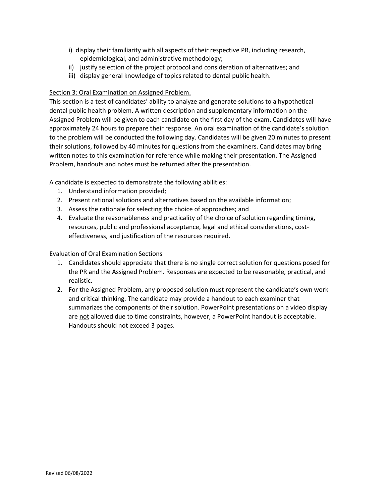- i) display their familiarity with all aspects of their respective PR, including research, epidemiological, and administrative methodology;
- ii) justify selection of the project protocol and consideration of alternatives; and
- iii) display general knowledge of topics related to dental public health.

#### Section 3: Oral Examination on Assigned Problem.

This section is a test of candidates' ability to analyze and generate solutions to a hypothetical dental public health problem. A written description and supplementary information on the Assigned Problem will be given to each candidate on the first day of the exam. Candidates will have approximately 24 hours to prepare their response. An oral examination of the candidate's solution to the problem will be conducted the following day. Candidates will be given 20 minutes to present their solutions, followed by 40 minutes for questions from the examiners. Candidates may bring written notes to this examination for reference while making their presentation. The Assigned Problem, handouts and notes must be returned after the presentation.

A candidate is expected to demonstrate the following abilities:

- 1. Understand information provided;
- 2. Present rational solutions and alternatives based on the available information;
- 3. Assess the rationale for selecting the choice of approaches; and
- 4. Evaluate the reasonableness and practicality of the choice of solution regarding timing, resources, public and professional acceptance, legal and ethical considerations, costeffectiveness, and justification of the resources required.

#### Evaluation of Oral Examination Sections

- 1. Candidates should appreciate that there is no single correct solution for questions posed for the PR and the Assigned Problem. Responses are expected to be reasonable, practical, and realistic.
- 2. For the Assigned Problem, any proposed solution must represent the candidate's own work and critical thinking. The candidate may provide a handout to each examiner that summarizes the components of their solution. PowerPoint presentations on a video display are not allowed due to time constraints, however, a PowerPoint handout is acceptable. Handouts should not exceed 3 pages.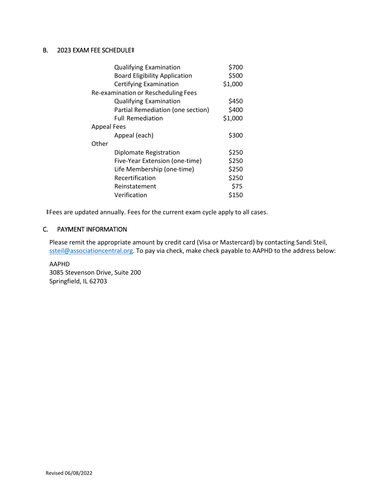### <span id="page-17-0"></span>B. 2023 EXAM FEE SCHEDULE‡

| <b>Qualifying Examination</b>        | \$700   |  |  |  |
|--------------------------------------|---------|--|--|--|
| <b>Board Eligibility Application</b> | \$500   |  |  |  |
| Certifying Examination               | \$1,000 |  |  |  |
| Re-examination or Rescheduling Fees  |         |  |  |  |
| <b>Qualifying Examination</b>        | \$450   |  |  |  |
| Partial Remediation (one section)    | \$400   |  |  |  |
| <b>Full Remediation</b>              | \$1,000 |  |  |  |
| <b>Appeal Fees</b>                   |         |  |  |  |
| Appeal (each)                        | \$300   |  |  |  |
| Other                                |         |  |  |  |
| Diplomate Registration               | \$250   |  |  |  |
| Five-Year Extension (one-time)       | \$250   |  |  |  |
| Life Membership (one-time)           | \$250   |  |  |  |
| Recertification                      | \$250   |  |  |  |
| Reinstatement                        | \$75    |  |  |  |
| Verification                         | \$150   |  |  |  |

‡Fees are updated annually. Fees for the current exam cycle apply to all cases.

#### <span id="page-17-1"></span>C. PAYMENT INFORMATION

Please remit the appropriate amount by credit card (Visa or Mastercard) by contacting Sandi Steil, [ssteil@associationcentral.org.](mailto:ssteil@associationcentral.org) To pay via check, make check payable to AAPHD to the address below:

AAPHD 3085 Stevenson Drive, Suite 200 Springfield, IL 62703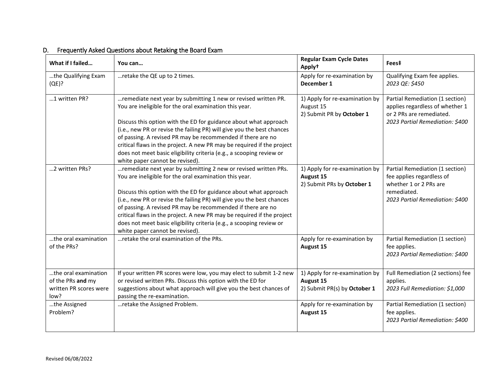#### <span id="page-18-0"></span>**What if I failed... Provided a later with a set of the Cycle Case of the Cycle Dates in the Cycle Dates in the Voucan... Apply† Fees‡** …the Qualifying Exam (QE)? ...retake the QE up to 2 times.  $\Box$  Apply for re-examination by **December 1** Qualifying Exam fee applies. *2023 QE: \$450* ...1 written PR?  $\parallel$  ... remediate next year by submitting 1 new or revised written PR. You are ineligible for the oral examination this year. Discuss this option with the ED for guidance about what approach (i.e., new PR or revise the failing PR) will give you the best chances of passing. A revised PR may be recommended if there are no critical flaws in the project. A new PR may be required if the project does not meet basic eligibility criteria (e.g., a scooping review or white paper cannot be revised). 1) Apply for re-examination by August 15 2) Submit PR by **October 1** Partial Remediation (1 section) applies regardless of whether 1 or 2 PRs are remediated. *2023 Partial Remediation: \$400* ...2 written PRs?  $\cdot$  ... remediate next year by submitting 2 new or revised written PRs. You are ineligible for the oral examination this year. Discuss this option with the ED for guidance about what approach (i.e., new PR or revise the failing PR) will give you the best chances of passing. A revised PR may be recommended if there are no critical flaws in the project. A new PR may be required if the project does not meet basic eligibility criteria (e.g., a scooping review or white paper cannot be revised). 1) Apply for re-examination by **August 15** 2) Submit PRs by **October 1** Partial Remediation (1 section) fee applies regardless of whether 1 or 2 PRs are remediated. *2023 Partial Remediation: \$400* …the oral examination of the PRs? ... retake the oral examination of the PRs.  $\vert$  Apply for re-examination by **August 15** Partial Remediation (1 section) fee applies. *2023 Partial Remediation: \$400* …the oral examination of the PRs **and** my written PR scores were low? If your written PR scores were low, you may elect to submit 1-2 new or revised written PRs. Discuss this option with the ED for suggestions about what approach will give you the best chances of passing the re-examination. 1) Apply for re-examination by **August 15** 2) Submit PR(s) by **October 1**  Full Remediation (2 sections) fee applies. *2023 Full Remediation: \$1,000* …the Assigned Problem? …retake the Assigned Problem. Apply for re-examination by a settlement of the Assigned Problem. **August 15** Partial Remediation (1 section) fee applies. *2023 Partial Remediation: \$400*

#### D. Frequently Asked Questions about Retaking the Board Exam